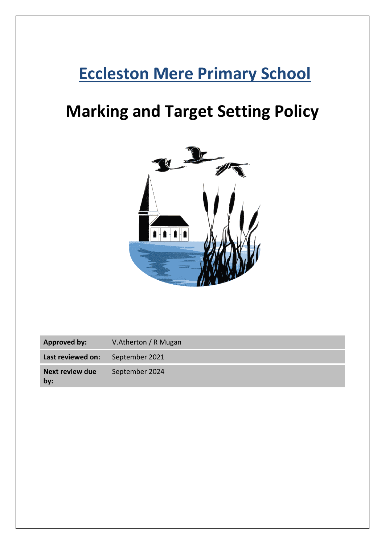## **Eccleston Mere Primary School**

# **Marking and Target Setting Policy**



| Approved by:                  | V.Atherton / R Mugan |
|-------------------------------|----------------------|
| Last reviewed on:             | September 2021       |
| <b>Next review due</b><br>bv: | September 2024       |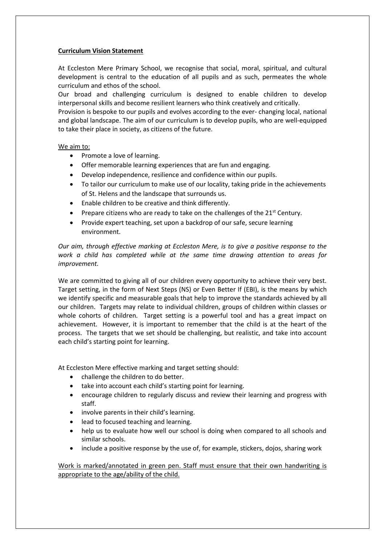## **Curriculum Vision Statement**

At Eccleston Mere Primary School, we recognise that social, moral, spiritual, and cultural development is central to the education of all pupils and as such, permeates the whole curriculum and ethos of the school.

Our broad and challenging curriculum is designed to enable children to develop interpersonal skills and become resilient learners who think creatively and critically.

Provision is bespoke to our pupils and evolves according to the ever- changing local, national and global landscape. The aim of our curriculum is to develop pupils, who are well-equipped to take their place in society, as citizens of the future.

## We aim to:

- Promote a love of learning.
- Offer memorable learning experiences that are fun and engaging.
- Develop independence, resilience and confidence within our pupils.
- To tailor our curriculum to make use of our locality, taking pride in the achievements of St. Helens and the landscape that surrounds us.
- Enable children to be creative and think differently.
- Prepare citizens who are ready to take on the challenges of the 21<sup>st</sup> Century.
- Provide expert teaching, set upon a backdrop of our safe, secure learning environment.

*Our aim, through effective marking at Eccleston Mere, is to give a positive response to the work a child has completed while at the same time drawing attention to areas for improvement.*

We are committed to giving all of our children every opportunity to achieve their very best. Target setting, in the form of Next Steps (NS) or Even Better If (EBI), is the means by which we identify specific and measurable goals that help to improve the standards achieved by all our children. Targets may relate to individual children, groups of children within classes or whole cohorts of children. Target setting is a powerful tool and has a great impact on achievement. However, it is important to remember that the child is at the heart of the process. The targets that we set should be challenging, but realistic, and take into account each child's starting point for learning.

At Eccleston Mere effective marking and target setting should:

- challenge the children to do better.
- take into account each child's starting point for learning.
- encourage children to regularly discuss and review their learning and progress with staff.
- involve parents in their child's learning.
- lead to focused teaching and learning.
- help us to evaluate how well our school is doing when compared to all schools and similar schools.
- include a positive response by the use of, for example, stickers, dojos, sharing work

Work is marked/annotated in green pen. Staff must ensure that their own handwriting is appropriate to the age/ability of the child.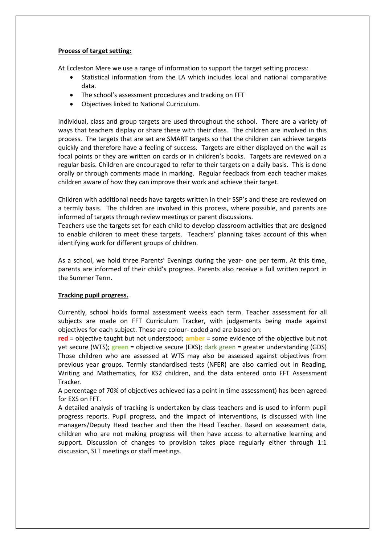### **Process of target setting:**

At Eccleston Mere we use a range of information to support the target setting process:

- Statistical information from the LA which includes local and national comparative data.
- The school's assessment procedures and tracking on FFT
- Objectives linked to National Curriculum.

Individual, class and group targets are used throughout the school. There are a variety of ways that teachers display or share these with their class. The children are involved in this process. The targets that are set are SMART targets so that the children can achieve targets quickly and therefore have a feeling of success. Targets are either displayed on the wall as focal points or they are written on cards or in children's books. Targets are reviewed on a regular basis. Children are encouraged to refer to their targets on a daily basis. This is done orally or through comments made in marking. Regular feedback from each teacher makes children aware of how they can improve their work and achieve their target.

Children with additional needs have targets written in their SSP's and these are reviewed on a termly basis. The children are involved in this process, where possible, and parents are informed of targets through review meetings or parent discussions.

Teachers use the targets set for each child to develop classroom activities that are designed to enable children to meet these targets. Teachers' planning takes account of this when identifying work for different groups of children.

As a school, we hold three Parents' Evenings during the year- one per term. At this time, parents are informed of their child's progress. Parents also receive a full written report in the Summer Term.

## **Tracking pupil progress.**

Currently, school holds formal assessment weeks each term. Teacher assessment for all subjects are made on FFT Curriculum Tracker, with judgements being made against objectives for each subject. These are colour- coded and are based on:

**red** = objective taught but not understood; **amber** = some evidence of the objective but not yet secure (WTS); **green** = objective secure (EXS); dark green = greater understanding (GDS) Those children who are assessed at WTS may also be assessed against objectives from previous year groups. Termly standardised tests (NFER) are also carried out in Reading, Writing and Mathematics, for KS2 children, and the data entered onto FFT Assessment Tracker.

A percentage of 70% of objectives achieved (as a point in time assessment) has been agreed for EXS on FFT.

A detailed analysis of tracking is undertaken by class teachers and is used to inform pupil progress reports. Pupil progress, and the impact of interventions, is discussed with line managers/Deputy Head teacher and then the Head Teacher. Based on assessment data, children who are not making progress will then have access to alternative learning and support. Discussion of changes to provision takes place regularly either through 1:1 discussion, SLT meetings or staff meetings.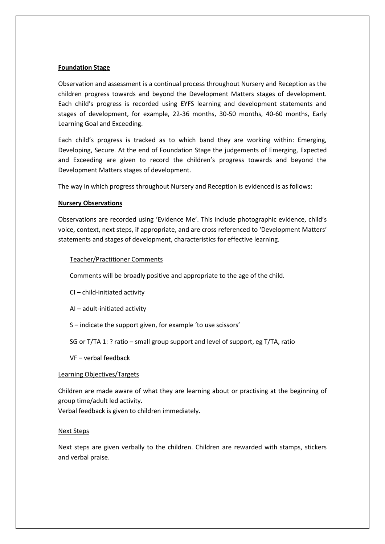#### **Foundation Stage**

Observation and assessment is a continual process throughout Nursery and Reception as the children progress towards and beyond the Development Matters stages of development. Each child's progress is recorded using EYFS learning and development statements and stages of development, for example, 22-36 months, 30-50 months, 40-60 months, Early Learning Goal and Exceeding.

Each child's progress is tracked as to which band they are working within: Emerging, Developing, Secure. At the end of Foundation Stage the judgements of Emerging, Expected and Exceeding are given to record the children's progress towards and beyond the Development Matters stages of development.

The way in which progress throughout Nursery and Reception is evidenced is as follows:

## **Nursery Observations**

Observations are recorded using 'Evidence Me'. This include photographic evidence, child's voice, context, next steps, if appropriate, and are cross referenced to 'Development Matters' statements and stages of development, characteristics for effective learning.

#### Teacher/Practitioner Comments

Comments will be broadly positive and appropriate to the age of the child.

CI – child-initiated activity

AI – adult-initiated activity

S – indicate the support given, for example 'to use scissors'

SG or T/TA 1: ? ratio – small group support and level of support, eg T/TA, ratio

VF – verbal feedback

#### Learning Objectives/Targets

Children are made aware of what they are learning about or practising at the beginning of group time/adult led activity.

Verbal feedback is given to children immediately.

#### Next Steps

Next steps are given verbally to the children. Children are rewarded with stamps, stickers and verbal praise.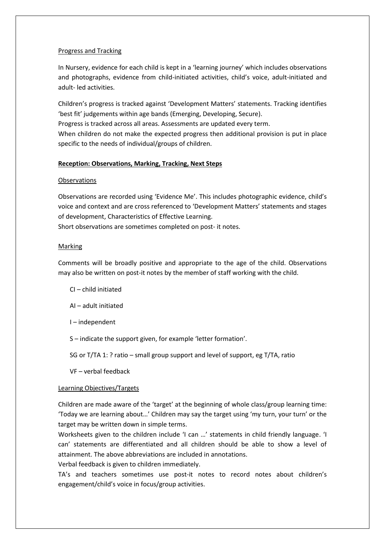## Progress and Tracking

In Nursery, evidence for each child is kept in a 'learning journey' which includes observations and photographs, evidence from child-initiated activities, child's voice, adult-initiated and adult- led activities.

Children's progress is tracked against 'Development Matters' statements. Tracking identifies 'best fit' judgements within age bands (Emerging, Developing, Secure).

Progress is tracked across all areas. Assessments are updated every term.

When children do not make the expected progress then additional provision is put in place specific to the needs of individual/groups of children.

## **Reception: Observations, Marking, Tracking, Next Steps**

## **Observations**

Observations are recorded using 'Evidence Me'. This includes photographic evidence, child's voice and context and are cross referenced to 'Development Matters' statements and stages of development, Characteristics of Effective Learning.

Short observations are sometimes completed on post- it notes.

## Marking

Comments will be broadly positive and appropriate to the age of the child. Observations may also be written on post-it notes by the member of staff working with the child.

- CI child initiated
- AI adult initiated
- I independent
- S indicate the support given, for example 'letter formation'.

SG or T/TA 1: ? ratio – small group support and level of support, eg T/TA, ratio

VF – verbal feedback

## Learning Objectives/Targets

Children are made aware of the 'target' at the beginning of whole class/group learning time: 'Today we are learning about…' Children may say the target using 'my turn, your turn' or the target may be written down in simple terms.

Worksheets given to the children include 'I can …' statements in child friendly language. 'I can' statements are differentiated and all children should be able to show a level of attainment. The above abbreviations are included in annotations.

Verbal feedback is given to children immediately.

TA's and teachers sometimes use post-it notes to record notes about children's engagement/child's voice in focus/group activities.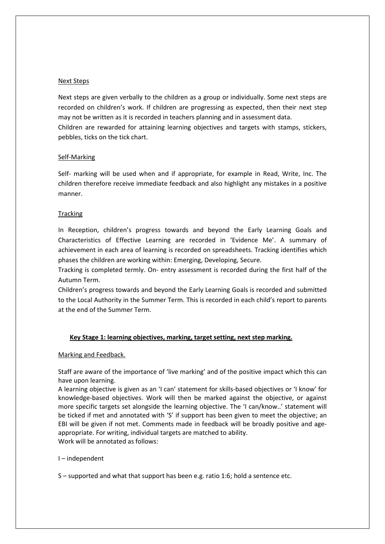### Next Steps

Next steps are given verbally to the children as a group or individually. Some next steps are recorded on children's work. If children are progressing as expected, then their next step may not be written as it is recorded in teachers planning and in assessment data. Children are rewarded for attaining learning objectives and targets with stamps, stickers, pebbles, ticks on the tick chart.

#### Self-Marking

Self- marking will be used when and if appropriate, for example in Read, Write, Inc. The children therefore receive immediate feedback and also highlight any mistakes in a positive manner.

#### **Tracking**

In Reception, children's progress towards and beyond the Early Learning Goals and Characteristics of Effective Learning are recorded in 'Evidence Me'. A summary of achievement in each area of learning is recorded on spreadsheets. Tracking identifies which phases the children are working within: Emerging, Developing, Secure.

Tracking is completed termly. On- entry assessment is recorded during the first half of the Autumn Term.

Children's progress towards and beyond the Early Learning Goals is recorded and submitted to the Local Authority in the Summer Term. This is recorded in each child's report to parents at the end of the Summer Term.

## **Key Stage 1: learning objectives, marking, target setting, next step marking.**

#### Marking and Feedback.

Staff are aware of the importance of 'live marking' and of the positive impact which this can have upon learning.

A learning objective is given as an 'I can' statement for skills-based objectives or 'I know' for knowledge-based objectives. Work will then be marked against the objective, or against more specific targets set alongside the learning objective. The 'I can/know..' statement will be ticked if met and annotated with 'S' if support has been given to meet the objective; an EBI will be given if not met. Comments made in feedback will be broadly positive and ageappropriate. For writing, individual targets are matched to ability. Work will be annotated as follows:

I – independent

S – supported and what that support has been e.g. ratio 1:6; hold a sentence etc.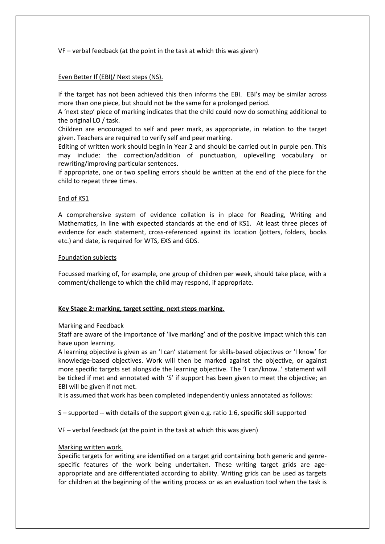VF – verbal feedback (at the point in the task at which this was given)

## Even Better If (EBI)/ Next steps (NS).

If the target has not been achieved this then informs the EBI. EBI's may be similar across more than one piece, but should not be the same for a prolonged period.

A 'next step' piece of marking indicates that the child could now do something additional to the original LO / task.

Children are encouraged to self and peer mark, as appropriate, in relation to the target given. Teachers are required to verify self and peer marking.

Editing of written work should begin in Year 2 and should be carried out in purple pen. This may include: the correction/addition of punctuation, uplevelling vocabulary or rewriting/improving particular sentences.

If appropriate, one or two spelling errors should be written at the end of the piece for the child to repeat three times.

## End of KS1

A comprehensive system of evidence collation is in place for Reading, Writing and Mathematics, in line with expected standards at the end of KS1. At least three pieces of evidence for each statement, cross-referenced against its location (jotters, folders, books etc.) and date, is required for WTS, EXS and GDS.

#### Foundation subjects

Focussed marking of, for example, one group of children per week, should take place, with a comment/challenge to which the child may respond, if appropriate.

## **Key Stage 2: marking, target setting, next steps marking.**

## Marking and Feedback

Staff are aware of the importance of 'live marking' and of the positive impact which this can have upon learning.

A learning objective is given as an 'I can' statement for skills-based objectives or 'I know' for knowledge-based objectives. Work will then be marked against the objective, or against more specific targets set alongside the learning objective. The 'I can/know..' statement will be ticked if met and annotated with 'S' if support has been given to meet the objective; an EBI will be given if not met.

It is assumed that work has been completed independently unless annotated as follows:

- S supported -- with details of the support given e.g. ratio 1:6, specific skill supported
- VF verbal feedback (at the point in the task at which this was given)

## Marking written work.

Specific targets for writing are identified on a target grid containing both generic and genrespecific features of the work being undertaken. These writing target grids are ageappropriate and are differentiated according to ability. Writing grids can be used as targets for children at the beginning of the writing process or as an evaluation tool when the task is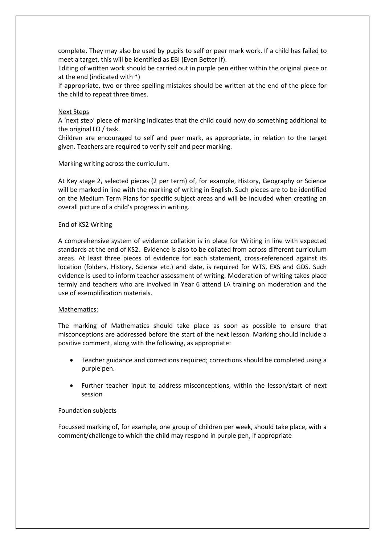complete. They may also be used by pupils to self or peer mark work. If a child has failed to meet a target, this will be identified as EBI (Even Better If).

Editing of written work should be carried out in purple pen either within the original piece or at the end (indicated with \*)

If appropriate, two or three spelling mistakes should be written at the end of the piece for the child to repeat three times.

### Next Steps

A 'next step' piece of marking indicates that the child could now do something additional to the original LO / task.

Children are encouraged to self and peer mark, as appropriate, in relation to the target given. Teachers are required to verify self and peer marking.

#### Marking writing across the curriculum.

At Key stage 2, selected pieces (2 per term) of, for example, History, Geography or Science will be marked in line with the marking of writing in English. Such pieces are to be identified on the Medium Term Plans for specific subject areas and will be included when creating an overall picture of a child's progress in writing.

#### End of KS2 Writing

A comprehensive system of evidence collation is in place for Writing in line with expected standards at the end of KS2. Evidence is also to be collated from across different curriculum areas. At least three pieces of evidence for each statement, cross-referenced against its location (folders, History, Science etc.) and date, is required for WTS, EXS and GDS. Such evidence is used to inform teacher assessment of writing. Moderation of writing takes place termly and teachers who are involved in Year 6 attend LA training on moderation and the use of exemplification materials.

#### Mathematics:

The marking of Mathematics should take place as soon as possible to ensure that misconceptions are addressed before the start of the next lesson. Marking should include a positive comment, along with the following, as appropriate:

- Teacher guidance and corrections required; corrections should be completed using a purple pen.
- Further teacher input to address misconceptions, within the lesson/start of next session

#### Foundation subjects

Focussed marking of, for example, one group of children per week, should take place, with a comment/challenge to which the child may respond in purple pen, if appropriate